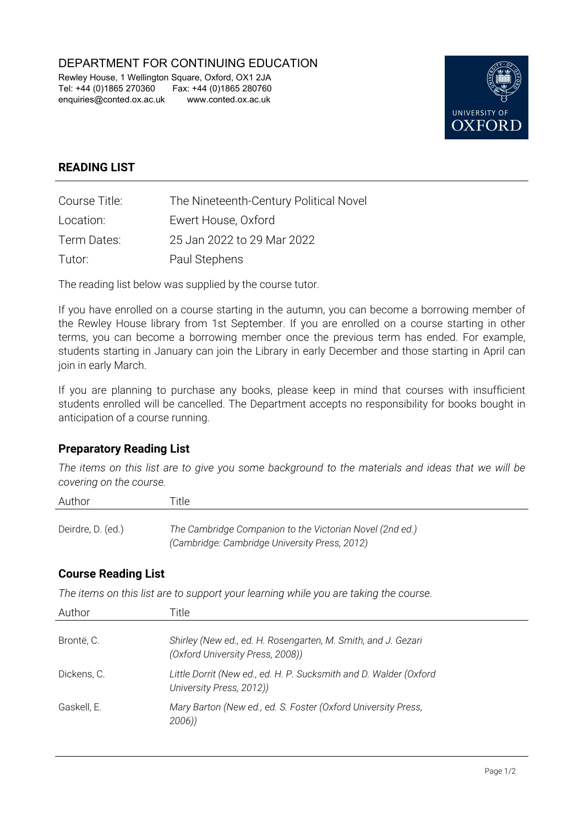DEPARTMENT FOR CONTINUING EDUCATION

Rewley House, 1 Wellington Square, Oxford, OX1 2JA Tel: +44 (0)1865 270360 Fax: +44 (0)1865 280760 enquiries@conted.ox.ac.uk www.conted.ox.ac.uk



## **READING LIST**

| Course Title: | The Nineteenth-Century Political Novel |
|---------------|----------------------------------------|
| Location:     | Ewert House, Oxford                    |
| Term Dates:   | 25 Jan 2022 to 29 Mar 2022             |
| Tutor:        | Paul Stephens                          |

The reading list below was supplied by the course tutor.

If you have enrolled on a course starting in the autumn, you can become a borrowing member of the Rewley House library from 1st September. If you are enrolled on a course starting in other terms, you can become a borrowing member once the previous term has ended. For example, students starting in January can join the Library in early December and those starting in April can join in early March.

If you are planning to purchase any books, please keep in mind that courses with insufficient students enrolled will be cancelled. The Department accepts no responsibility for books bought in anticipation of a course running.

## **Preparatory Reading List**

*The items on this list are to give you some background to the materials and ideas that we will be covering on the course.*

| Author            | Title                                                                                                     |
|-------------------|-----------------------------------------------------------------------------------------------------------|
| Deirdre, D. (ed.) | The Cambridge Companion to the Victorian Novel (2nd ed.)<br>(Cambridge: Cambridge University Press, 2012) |

## **Course Reading List**

*The items on this list are to support your learning while you are taking the course.*

| Author      | Title.                                                                                            |
|-------------|---------------------------------------------------------------------------------------------------|
| Brontë, C.  | Shirley (New ed., ed. H. Rosengarten, M. Smith, and J. Gezari<br>(Oxford University Press, 2008)) |
| Dickens. C. | Little Dorrit (New ed., ed. H. P. Sucksmith and D. Walder (Oxford<br>University Press, 2012))     |
| Gaskell, E. | Mary Barton (New ed., ed. S. Foster (Oxford University Press,<br>2006)                            |